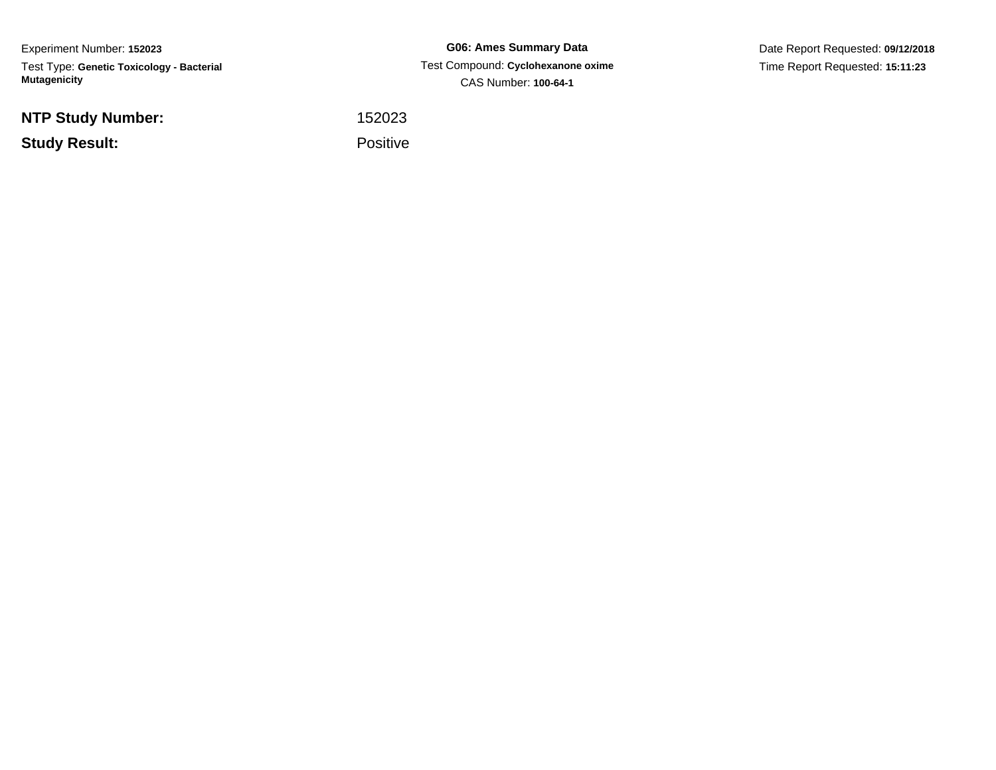Experiment Number: **152023**Test Type: **Genetic Toxicology - Bacterial Mutagenicity**

**NTP Study Number:**

**Study Result:**

**G06: Ames Summary Data** Test Compound: **Cyclohexanone oxime**CAS Number: **100-64-1**

Date Report Requested: **09/12/2018**Time Report Requested: **15:11:23**

<sup>152023</sup>

Positive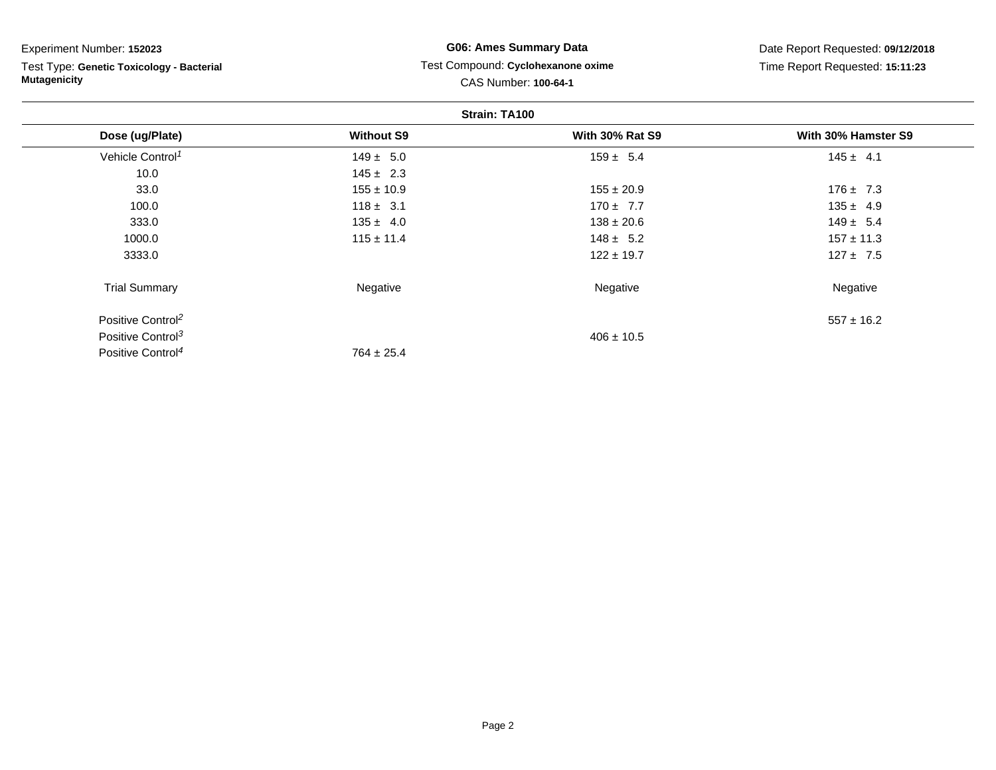Test Type: **Genetic Toxicology - Bacterial Mutagenicity**

Positive Control<sup>4</sup>

## **G06: Ames Summary Data** Test Compound: **Cyclohexanone oxime**CAS Number: **100-64-1**

Date Report Requested: **09/12/2018**Time Report Requested: **15:11:23**

| Strain: TA100                 |                   |                        |                     |
|-------------------------------|-------------------|------------------------|---------------------|
| Dose (ug/Plate)               | <b>Without S9</b> | <b>With 30% Rat S9</b> | With 30% Hamster S9 |
| Vehicle Control <sup>1</sup>  | $149 \pm 5.0$     | $159 \pm 5.4$          | $145 \pm 4.1$       |
| 10.0                          | $145 \pm 2.3$     |                        |                     |
| 33.0                          | $155 \pm 10.9$    | $155 \pm 20.9$         | $176 \pm 7.3$       |
| 100.0                         | $118 \pm 3.1$     | $170 \pm 7.7$          | $135 \pm 4.9$       |
| 333.0                         | $135 \pm 4.0$     | $138 \pm 20.6$         | $149 \pm 5.4$       |
| 1000.0                        | $115 \pm 11.4$    | $148 \pm 5.2$          | $157 \pm 11.3$      |
| 3333.0                        |                   | $122 \pm 19.7$         | $127 \pm 7.5$       |
| <b>Trial Summary</b>          | Negative          | Negative               | Negative            |
| Positive Control <sup>2</sup> |                   |                        | $557 \pm 16.2$      |
| Positive Control <sup>3</sup> |                   | $406 \pm 10.5$         |                     |

 $764 \pm 25.4$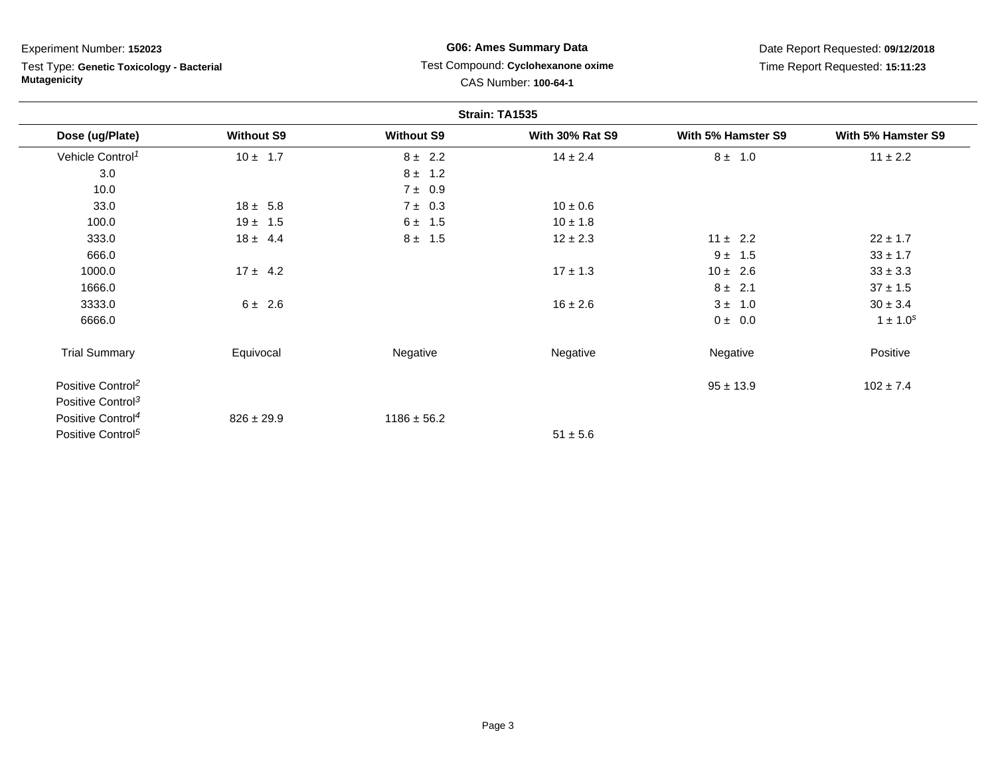Test Type: **Genetic Toxicology - Bacterial Mutagenicity**

## **G06: Ames Summary Data** Test Compound: **Cyclohexanone oxime**CAS Number: **100-64-1**

Date Report Requested: **09/12/2018**Time Report Requested: **15:11:23**

| Strain: TA1535                |                   |                   |                        |                    |                    |
|-------------------------------|-------------------|-------------------|------------------------|--------------------|--------------------|
| Dose (ug/Plate)               | <b>Without S9</b> | <b>Without S9</b> | <b>With 30% Rat S9</b> | With 5% Hamster S9 | With 5% Hamster S9 |
| Vehicle Control <sup>1</sup>  | $10 \pm 1.7$      | $8 \pm 2.2$       | $14 \pm 2.4$           | $8 \pm 1.0$        | $11 \pm 2.2$       |
| 3.0                           |                   | $8 \pm 1.2$       |                        |                    |                    |
| 10.0                          |                   | $7 \pm 0.9$       |                        |                    |                    |
| 33.0                          | $18 \pm 5.8$      | $7 \pm 0.3$       | $10 \pm 0.6$           |                    |                    |
| 100.0                         | $19 \pm 1.5$      | $6 \pm 1.5$       | $10 \pm 1.8$           |                    |                    |
| 333.0                         | $18 \pm 4.4$      | $8 \pm 1.5$       | $12 \pm 2.3$           | $11 \pm 2.2$       | $22 \pm 1.7$       |
| 666.0                         |                   |                   |                        | $9 \pm 1.5$        | $33 \pm 1.7$       |
| 1000.0                        | $17 \pm 4.2$      |                   | $17 \pm 1.3$           | $10 \pm 2.6$       | $33 \pm 3.3$       |
| 1666.0                        |                   |                   |                        | $8 \pm 2.1$        | $37 \pm 1.5$       |
| 3333.0                        | $6 \pm 2.6$       |                   | $16 \pm 2.6$           | $3 \pm 1.0$        | $30 \pm 3.4$       |
| 6666.0                        |                   |                   |                        | $0 \pm 0.0$        | $1 \pm 1.0^{s}$    |
| <b>Trial Summary</b>          | Equivocal         | Negative          | Negative               | Negative           | Positive           |
| Positive Control <sup>2</sup> |                   |                   |                        | $95 \pm 13.9$      | $102 \pm 7.4$      |
| Positive Control <sup>3</sup> |                   |                   |                        |                    |                    |
| Positive Control <sup>4</sup> | $826 \pm 29.9$    | $1186 \pm 56.2$   |                        |                    |                    |
| Positive Control <sup>5</sup> |                   |                   | $51 \pm 5.6$           |                    |                    |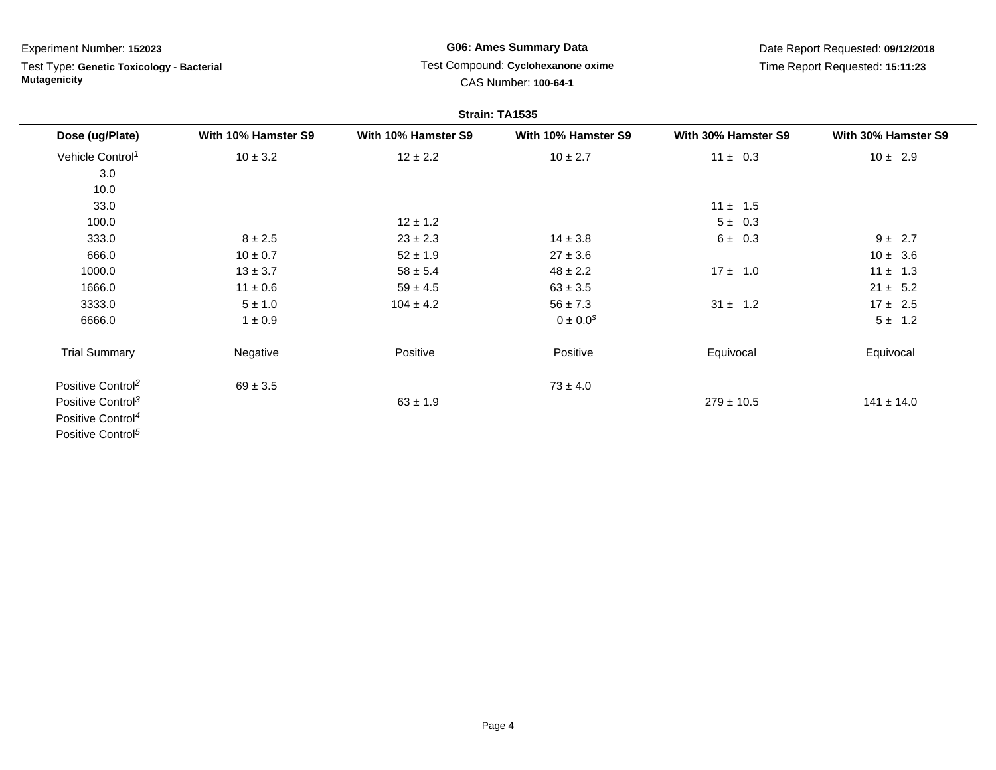# Test Type: **Genetic Toxicology - Bacterial Mutagenicity**

## **G06: Ames Summary Data** Test Compound: **Cyclohexanone oxime**CAS Number: **100-64-1**

Date Report Requested: **09/12/2018**Time Report Requested: **15:11:23**

| Strain: TA1535                |                     |                     |                     |                     |                     |
|-------------------------------|---------------------|---------------------|---------------------|---------------------|---------------------|
| Dose (ug/Plate)               | With 10% Hamster S9 | With 10% Hamster S9 | With 10% Hamster S9 | With 30% Hamster S9 | With 30% Hamster S9 |
| Vehicle Control <sup>1</sup>  | $10 \pm 3.2$        | $12 \pm 2.2$        | $10 \pm 2.7$        | $11 \pm 0.3$        | $10 \pm 2.9$        |
| 3.0                           |                     |                     |                     |                     |                     |
| 10.0                          |                     |                     |                     |                     |                     |
| 33.0                          |                     |                     |                     | $11 \pm 1.5$        |                     |
| 100.0                         |                     | $12 \pm 1.2$        |                     | $5 \pm 0.3$         |                     |
| 333.0                         | $8 \pm 2.5$         | $23 \pm 2.3$        | $14 \pm 3.8$        | $6 \pm 0.3$         | $9 \pm 2.7$         |
| 666.0                         | $10 \pm 0.7$        | $52 \pm 1.9$        | $27 \pm 3.6$        |                     | $10 \pm 3.6$        |
| 1000.0                        | $13 \pm 3.7$        | $58 \pm 5.4$        | $48 \pm 2.2$        | $17 \pm 1.0$        | $11 \pm 1.3$        |
| 1666.0                        | $11 \pm 0.6$        | $59 \pm 4.5$        | $63 \pm 3.5$        |                     | $21 \pm 5.2$        |
| 3333.0                        | $5 \pm 1.0$         | $104 \pm 4.2$       | $56 \pm 7.3$        | $31 \pm 1.2$        | $17 \pm 2.5$        |
| 6666.0                        | $1 \pm 0.9$         |                     | $0 \pm 0.0^{s}$     |                     | $5 \pm 1.2$         |
| <b>Trial Summary</b>          | Negative            | Positive            | Positive            | Equivocal           | Equivocal           |
| Positive Control <sup>2</sup> | $69 \pm 3.5$        |                     | $73 \pm 4.0$        |                     |                     |
| Positive Control <sup>3</sup> |                     | $63 \pm 1.9$        |                     | $279 \pm 10.5$      | $141 \pm 14.0$      |
| Positive Control <sup>4</sup> |                     |                     |                     |                     |                     |

Positive Control<sup>5</sup>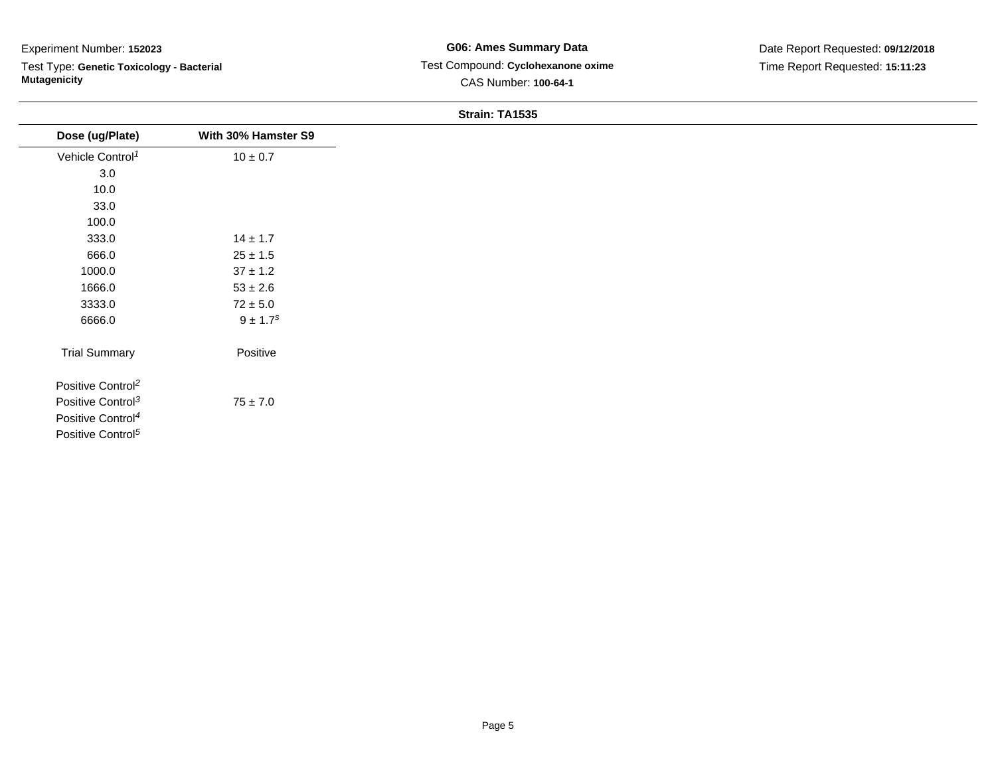$\sim$  $\overline{\phantom{0}}$ 

Test Type: **Genetic Toxicology - Bacterial Mutagenicity**

#### **Strain: TA1535**

| Dose (ug/Plate)               | With 30% Hamster S9      |
|-------------------------------|--------------------------|
| Vehicle Control <sup>1</sup>  | $10 \pm 0.7$             |
| 3.0                           |                          |
| 10.0                          |                          |
| 33.0                          |                          |
| 100.0                         |                          |
| 333.0                         | $14 \pm 1.7$             |
| 666.0                         | $25\pm1.5$               |
| 1000.0                        | $37 \pm 1.2$             |
| 1666.0                        | $53\pm2.6$               |
| 3333.0                        | $72\pm5.0$               |
| 6666.0                        | $9 \pm 1.7$ <sup>s</sup> |
| <b>Trial Summary</b>          | Positive                 |
| Positive Control <sup>2</sup> |                          |
| Positive Control <sup>3</sup> | $75 \pm 7.0$             |
| Positive Control <sup>4</sup> |                          |
| Positive Control <sup>5</sup> |                          |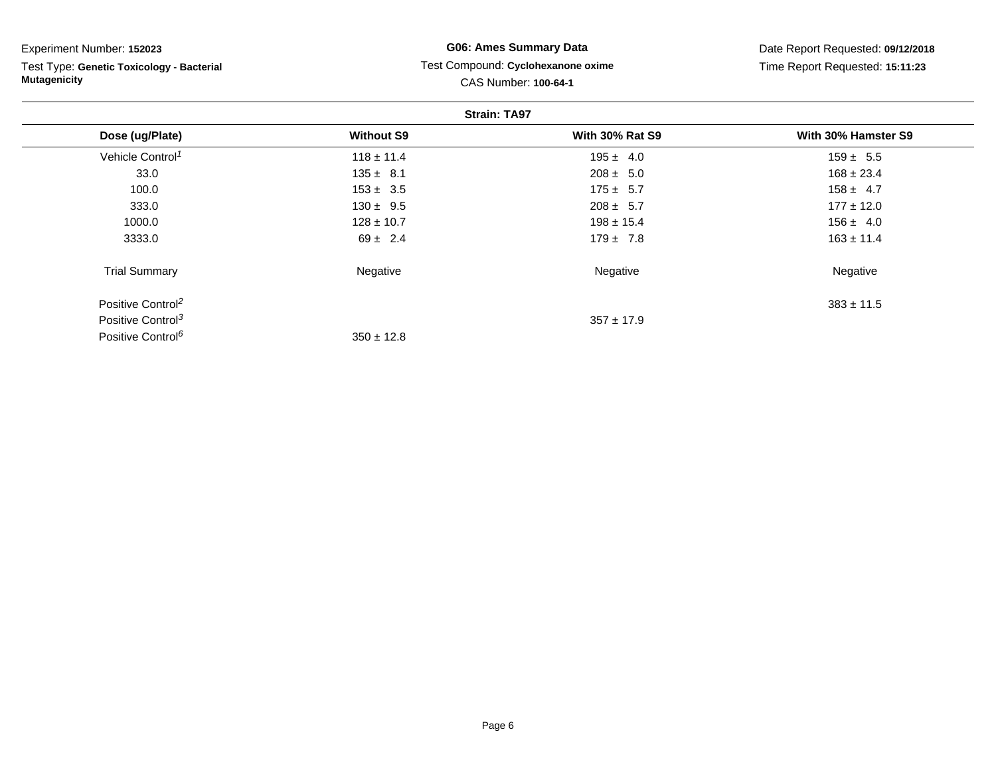| Experiment Number: 152023 |  |
|---------------------------|--|
|---------------------------|--|

Test Type: **Genetic Toxicology - Bacterial Mutagenicity**

## **G06: Ames Summary Data** Test Compound: **Cyclohexanone oxime**CAS Number: **100-64-1**

Date Report Requested: **09/12/2018**Time Report Requested: **15:11:23**

| <b>Strain: TA97</b>           |                   |                        |                     |
|-------------------------------|-------------------|------------------------|---------------------|
| Dose (ug/Plate)               | <b>Without S9</b> | <b>With 30% Rat S9</b> | With 30% Hamster S9 |
| Vehicle Control <sup>1</sup>  | $118 \pm 11.4$    | $195 \pm 4.0$          | $159 \pm 5.5$       |
| 33.0                          | $135 \pm 8.1$     | $208 \pm 5.0$          | $168 \pm 23.4$      |
| 100.0                         | $153 \pm 3.5$     | $175 \pm 5.7$          | $158 \pm 4.7$       |
| 333.0                         | $130 \pm 9.5$     | $208 \pm 5.7$          | $177 \pm 12.0$      |
| 1000.0                        | $128 \pm 10.7$    | $198 \pm 15.4$         | $156 \pm 4.0$       |
| 3333.0                        | $69 \pm 2.4$      | $179 \pm 7.8$          | $163 \pm 11.4$      |
| <b>Trial Summary</b>          | Negative          | Negative               | Negative            |
| Positive Control <sup>2</sup> |                   |                        | $383 \pm 11.5$      |
| Positive Control <sup>3</sup> |                   | $357 \pm 17.9$         |                     |
| Positive Control <sup>6</sup> | $350 \pm 12.8$    |                        |                     |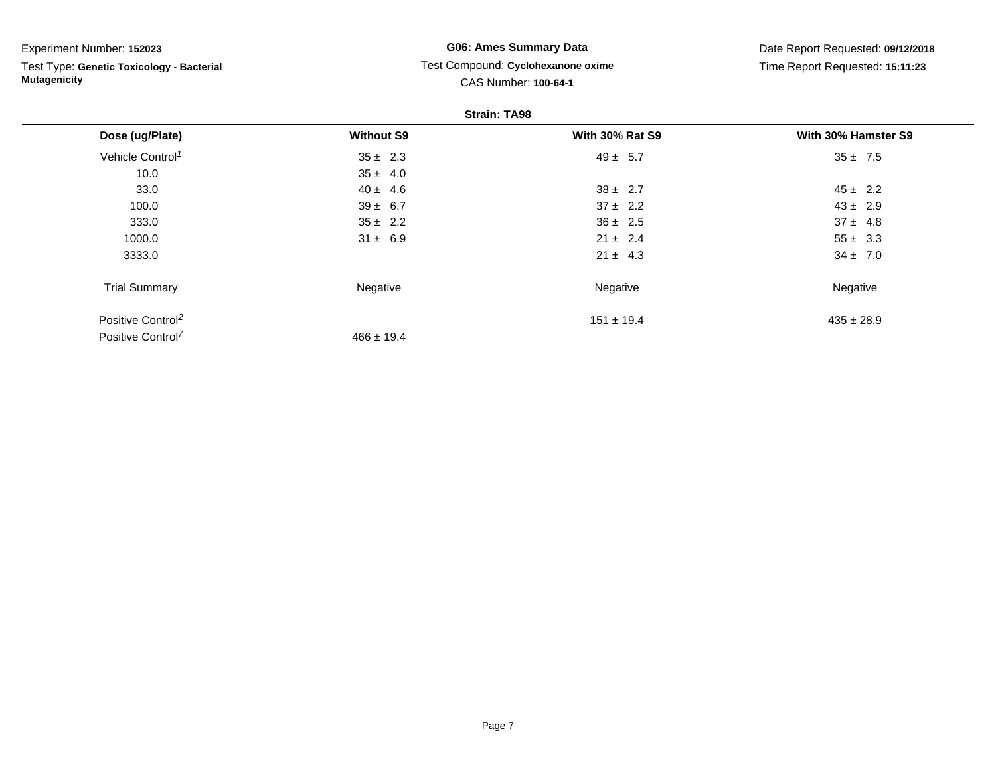Test Type: **Genetic Toxicology - Bacterial Mutagenicity**

## **G06: Ames Summary Data** Test Compound: **Cyclohexanone oxime**CAS Number: **100-64-1**

Date Report Requested: **09/12/2018**Time Report Requested: **15:11:23**

| <b>Strain: TA98</b>           |                   |                        |                     |
|-------------------------------|-------------------|------------------------|---------------------|
| Dose (ug/Plate)               | <b>Without S9</b> | <b>With 30% Rat S9</b> | With 30% Hamster S9 |
| Vehicle Control <sup>1</sup>  | $35 \pm 2.3$      | $49 \pm 5.7$           | $35 \pm 7.5$        |
| 10.0                          | $35 \pm 4.0$      |                        |                     |
| 33.0                          | $40 \pm 4.6$      | $38 \pm 2.7$           | $45 \pm 2.2$        |
| 100.0                         | $39 \pm 6.7$      | $37 \pm 2.2$           | $43 \pm 2.9$        |
| 333.0                         | $35 \pm 2.2$      | $36 \pm 2.5$           | $37 \pm 4.8$        |
| 1000.0                        | $31 \pm 6.9$      | $21 \pm 2.4$           | $55 \pm 3.3$        |
| 3333.0                        |                   | $21 \pm 4.3$           | $34 \pm 7.0$        |
| <b>Trial Summary</b>          | Negative          | Negative               | Negative            |
| Positive Control <sup>2</sup> |                   | $151 \pm 19.4$         | $435 \pm 28.9$      |
| Positive Control <sup>7</sup> | $466 \pm 19.4$    |                        |                     |